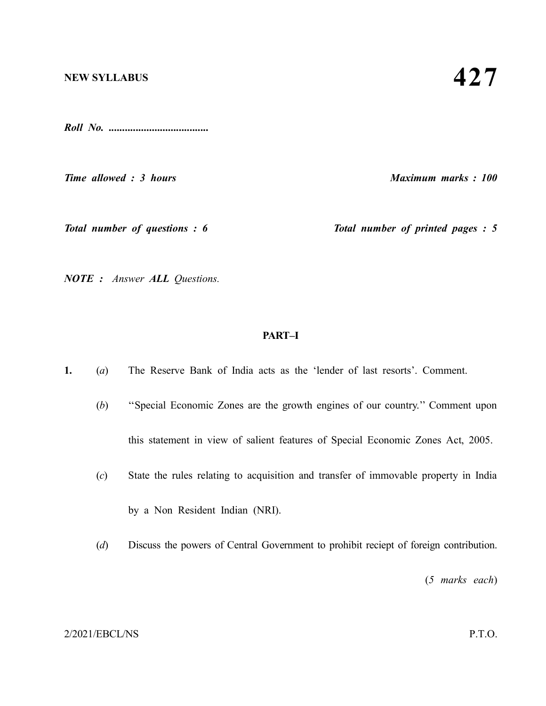#### **NEW SYLLABUS**

*Roll No. .....................................*

*Time allowed : 3 hours Maximum marks : 100*

*Total number of questions : 6* Total number of printed pages : 5

*NOTE : Answer ALL Questions.*

#### **PART–I**

**1.** (*a*) The Reserve Bank of India acts as the 'lender of last resorts'. Comment.

- (*b*) ''Special Economic Zones are the growth engines of our country.'' Comment upon this statement in view of salient features of Special Economic Zones Act, 2005.
- (*c*) State the rules relating to acquisition and transfer of immovable property in India by a Non Resident Indian (NRI).
- (*d*) Discuss the powers of Central Government to prohibit reciept of foreign contribution.

(*5 marks each*)

#### 2/2021/EBCL/NS P.T.O.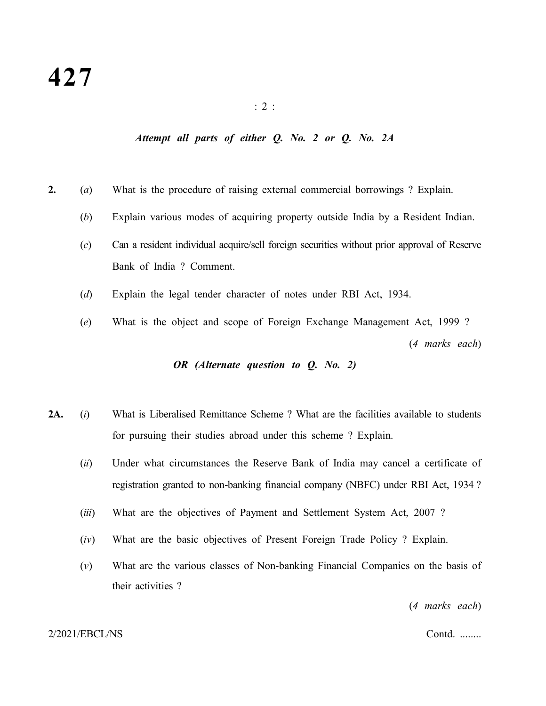#### : 2 :

## *Attempt all parts of either Q. No. 2 or Q. No. 2A*

- **2.** (*a*) What is the procedure of raising external commercial borrowings ? Explain.
	- (*b*) Explain various modes of acquiring property outside India by a Resident Indian.
	- (*c*) Can a resident individual acquire/sell foreign securities without prior approval of Reserve Bank of India ? Comment.
	- (*d*) Explain the legal tender character of notes under RBI Act, 1934.
	- (*e*) What is the object and scope of Foreign Exchange Management Act, 1999 ? (*4 marks each*)

## *OR (Alternate question to Q. No. 2)*

- **2A.** (*i*) What is Liberalised Remittance Scheme ? What are the facilities available to students for pursuing their studies abroad under this scheme ? Explain.
	- (*ii*) Under what circumstances the Reserve Bank of India may cancel a certificate of registration granted to non-banking financial company (NBFC) under RBI Act, 1934 ?
	- (*iii*) What are the objectives of Payment and Settlement System Act, 2007 ?
	- (*iv*) What are the basic objectives of Present Foreign Trade Policy ? Explain.
	- (*v*) What are the various classes of Non-banking Financial Companies on the basis of their activities ?

(*4 marks each*)

#### 2/2021/EBCL/NS Contd. ........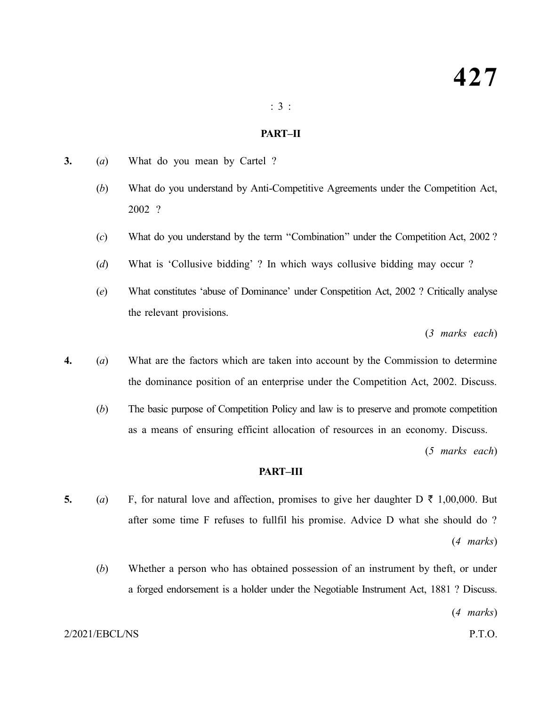#### : 3 :

#### **PART–II**

- **3.** (*a*) What do you mean by Cartel ?
	- (*b*) What do you understand by Anti-Competitive Agreements under the Competition Act, 2002 ?
	- (*c*) What do you understand by the term ''Combination'' under the Competition Act, 2002 ?
	- (*d*) What is 'Collusive bidding' ? In which ways collusive bidding may occur ?
	- (*e*) What constitutes 'abuse of Dominance' under Conspetition Act, 2002 ? Critically analyse the relevant provisions.

(*3 marks each*)

- **4.** (*a*) What are the factors which are taken into account by the Commission to determine the dominance position of an enterprise under the Competition Act, 2002. Discuss.
	- (*b*) The basic purpose of Competition Policy and law is to preserve and promote competition as a means of ensuring efficint allocation of resources in an economy. Discuss.

(*5 marks each*)

### **PART–III**

- **5.** (*a*) F, for natural love and affection, promises to give her daughter D  $\bar{\tau}$  1,00,000. But after some time F refuses to fullfil his promise. Advice D what she should do ? (*4 marks*)
	- (*b*) Whether a person who has obtained possession of an instrument by theft, or under a forged endorsement is a holder under the Negotiable Instrument Act, 1881 ? Discuss.

(*4 marks*)

#### 2/2021/EBCL/NS P.T.O.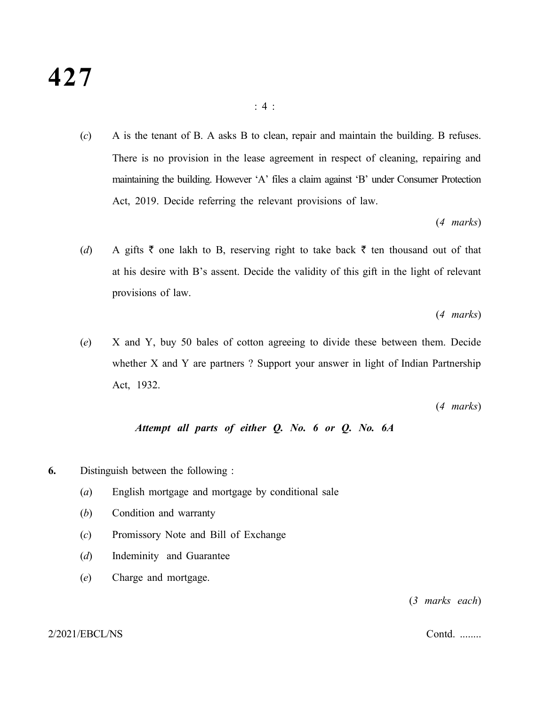(*c*) A is the tenant of B. A asks B to clean, repair and maintain the building. B refuses. There is no provision in the lease agreement in respect of cleaning, repairing and maintaining the building. However 'A' files a claim against 'B' under Consumer Protection Act, 2019. Decide referring the relevant provisions of law.

(*4 marks*)

(*d*) A gifts  $\bar{\tau}$  one lakh to B, reserving right to take back  $\bar{\tau}$  ten thousand out of that at his desire with B's assent. Decide the validity of this gift in the light of relevant provisions of law.

(*4 marks*)

(*e*) X and Y, buy 50 bales of cotton agreeing to divide these between them. Decide whether X and Y are partners ? Support your answer in light of Indian Partnership Act, 1932.

(*4 marks*)

# *Attempt all parts of either Q. No. 6 or Q. No. 6A*

- **6.** Distinguish between the following :
	- (*a*) English mortgage and mortgage by conditional sale
	- (*b*) Condition and warranty
	- (*c*) Promissory Note and Bill of Exchange
	- (*d*) Indeminity and Guarantee
	- (*e*) Charge and mortgage.

(*3 marks each*)

#### 2/2021/EBCL/NS Contd. ........